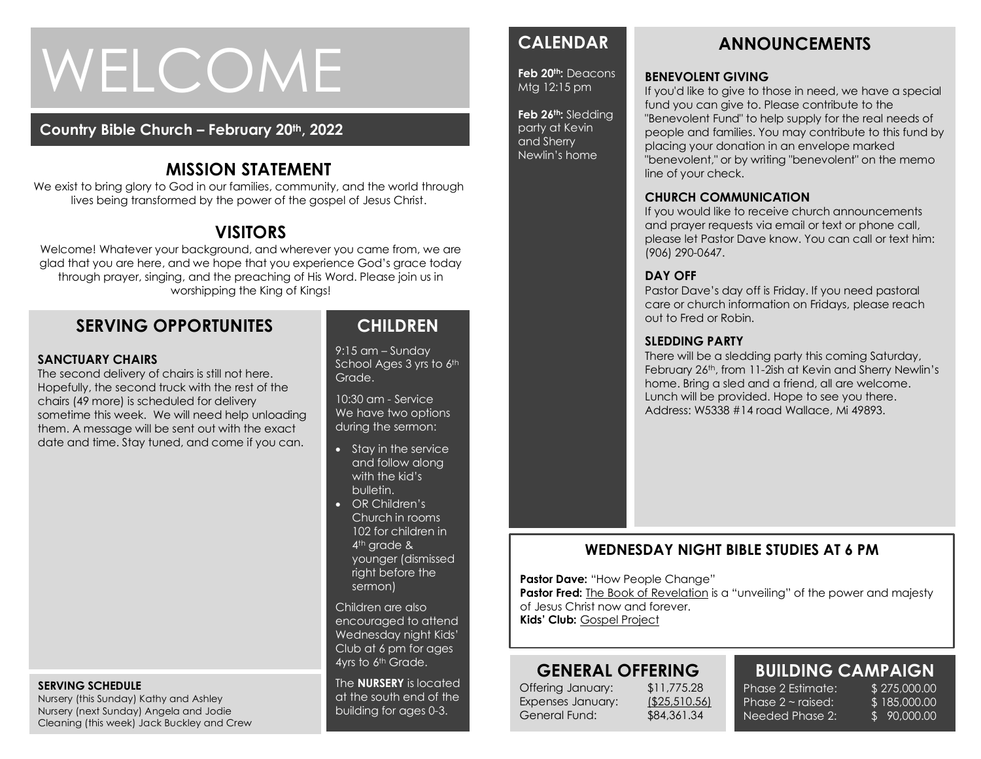# WELCOME

#### **Country Bible Church – February 20th, 2022**

## **MISSION STATEMENT**

We exist to bring glory to God in our families, community, and the world through lives being transformed by the power of the gospel of Jesus Christ.

## **VISITORS**

Welcome! Whatever your background, and wherever you came from, we are glad that you are here, and we hope that you experience God's grace today through prayer, singing, and the preaching of His Word. Please join us in worshipping the King of Kings!

## **SERVING OPPORTUNITES**

#### **SANCTUARY CHAIRS**

 date and time. Stay tuned, and come if you can. The second delivery of chairs is still not here. Hopefully, the second truck with the rest of the chairs (49 more) is scheduled for delivery sometime this week. We will need help unloading them. A message will be sent out with the exact

#### **SERVING SCHEDULE**

Nursery (this Sunday) Kathy and Ashley Nursery (next Sunday) Angela and Jodie Cleaning (this week) Jack Buckley and Crew

### **CHILDREN**

9:15 am – Sunday School Ages 3 yrs to 6th Grade.

10:30 am - Service We have two options during the sermon:

- Stay in the service and follow along with the kid's bulletin.
- OR Children's Church in rooms 102 for children in 4<sup>th</sup> grade & younger (dismissed right before the sermon)

Children are also encouraged to attend Wednesday night Kids' Club at 6 pm for ages 4yrs to 6th Grade.

The **NURSERY** is located at the south end of the building for ages 0-3.

## **CALENDAR**

**Feb 20th:** Deacons Mtg 12:15 pm

**Feb 26th:** Sledding party at Kevin and Sherry Newlin's home

#### **CHURCH COMMUNICATION**

If you would like to receive church announcements and prayer requests via email or text or phone call, please let Pastor Dave know. You can call or text him: (906) 290-0647.

#### **DAY OFF**

Pastor Dave's day off is Friday. If you need pastoral care or church information on Fridays, please reach out to Fred or Robin.

#### **SLEDDING PARTY**

line of your check.

There will be a sledding party this coming Saturday, February 26th, from 11-2ish at Kevin and Sherry Newlin's home. Bring a sled and a friend, all are welcome. Lunch will be provided. Hope to see you there. Address: W5338 #14 road Wallace, Mi 49893.

#### **WEDNESDAY NIGHT BIBLE STUDIES AT 6 PM**

**Pastor Dave: "How People Change"** 

**Pastor Fred:** The Book of Revelation is a "unveiling" of the power and majesty of Jesus Christ now and forever.

**Kids' Club:** Gospel Project

## **GENERAL OFFERING**

Offering January: \$11,775.28 Expenses January: (\$25,510.56) General Fund: \$84,361.34

Phase  $2 \sim$  raised: Needed Phase 2:

#### **BUILDING CAMPAIGN** Phase 2 Estimate: \$ 275,000.00

\$ 185,000.00 \$ 90,000.00

**ANNOUNCEMENTS**

"Benevolent Fund" to help supply for the real needs of people and families. You may contribute to this fund by

"benevolent," or by writing "benevolent" on the memo

fund you can give to. Please contribute to the

placing your donation in an envelope marked

#### **BENEVOLENT GIVING** If you'd like to give to those in need, we have a special